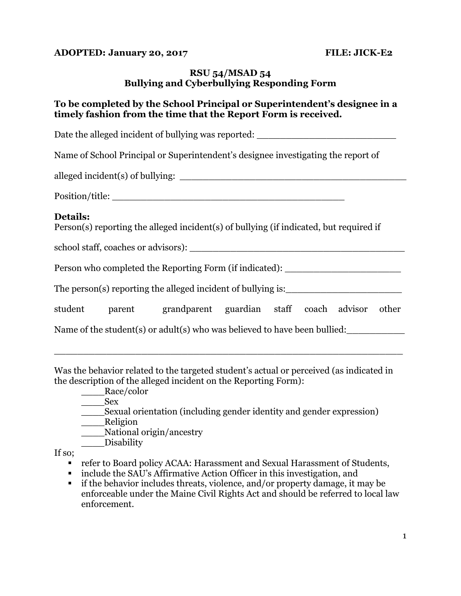#### **ADOPTED: January 20, 2017 FILE: JICK-E2**

## **RSU 54/MSAD 54 Bullying and Cyberbullying Responding Form**

## **To be completed by the School Principal or Superintendent's designee in a timely fashion from the time that the Report Form is received.**

Date the alleged incident of bullying was reported: Name of School Principal or Superintendent's designee investigating the report of alleged incident(s) of bullying: Position/title: **Details:** Person(s) reporting the alleged incident(s) of bullying (if indicated, but required if school staff, coaches or advisors): Person who completed the Reporting Form (if indicated): \_\_\_\_\_\_\_\_\_\_\_\_\_\_\_\_\_\_\_\_\_\_\_\_ The person(s) reporting the alleged incident of bullying is:\_\_\_\_\_\_\_\_\_\_\_\_\_\_\_\_\_\_\_\_\_ student parent grandparent guardian staff coach advisor other Name of the student(s) or adult(s) who was believed to have been bullied: \_\_\_\_\_\_\_\_\_\_\_\_\_\_\_\_\_\_\_\_\_\_\_\_\_\_\_\_\_\_\_\_\_\_\_\_\_\_\_\_\_\_\_\_\_\_\_\_\_\_\_\_\_\_\_\_\_\_\_\_

Was the behavior related to the targeted student's actual or perceived (as indicated in the description of the alleged incident on the Reporting Form):

\_\_\_\_Race/color

\_\_\_\_Sex

\_\_\_\_Sexual orientation (including gender identity and gender expression)

\_\_\_\_\_Religion

\_\_\_\_National origin/ancestry

\_\_\_\_\_Disability

If so;

- refer to Board policy ACAA: Harassment and Sexual Harassment of Students,
- include the SAU's Affirmative Action Officer in this investigation, and
- if the behavior includes threats, violence, and/or property damage, it may be enforceable under the Maine Civil Rights Act and should be referred to local law enforcement.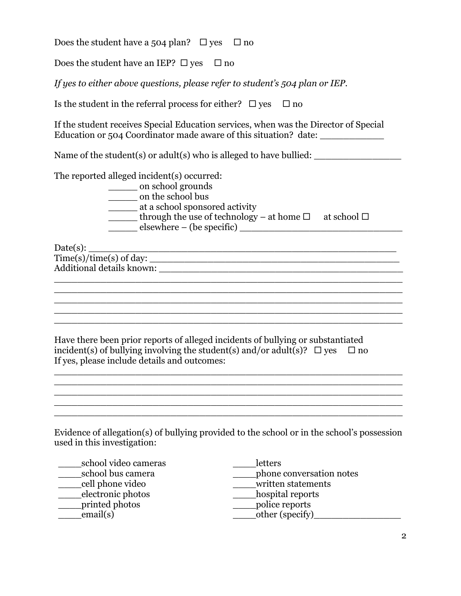Does the student have a 504 plan?  $\Box$  yes  $\Box$  no

Does the student have an IEP?  $\Box$  yes  $\Box$  no

*If yes to either above questions, please refer to student's 504 plan or IEP.*

Is the student in the referral process for either?  $\Box$  yes  $\Box$  no

If the student receives Special Education services, when was the Director of Special Education or 504 Coordinator made aware of this situation? date:

Name of the student(s) or adult(s) who is alleged to have bullied: \_\_\_\_\_\_\_\_\_\_\_\_\_\_\_

The reported alleged incident(s) occurred:

\_\_\_\_\_\_\_\_ on school grounds

\_\_\_\_\_ on the school bus

- \_\_\_\_\_ at a school sponsored activity
- through the use of technology at home  $\Box$  at school  $\Box$

 $\mathcal{L}_\mathcal{L} = \{ \mathcal{L}_\mathcal{L} = \{ \mathcal{L}_\mathcal{L} = \{ \mathcal{L}_\mathcal{L} = \{ \mathcal{L}_\mathcal{L} = \{ \mathcal{L}_\mathcal{L} = \{ \mathcal{L}_\mathcal{L} = \{ \mathcal{L}_\mathcal{L} = \{ \mathcal{L}_\mathcal{L} = \{ \mathcal{L}_\mathcal{L} = \{ \mathcal{L}_\mathcal{L} = \{ \mathcal{L}_\mathcal{L} = \{ \mathcal{L}_\mathcal{L} = \{ \mathcal{L}_\mathcal{L} = \{ \mathcal{L}_\mathcal{$ \_\_\_\_\_\_\_\_\_\_\_\_\_\_\_\_\_\_\_\_\_\_\_\_\_\_\_\_\_\_\_\_\_\_\_\_\_\_\_\_\_\_\_\_\_\_\_\_\_\_\_\_\_\_\_\_\_\_\_\_ \_\_\_\_\_\_\_\_\_\_\_\_\_\_\_\_\_\_\_\_\_\_\_\_\_\_\_\_\_\_\_\_\_\_\_\_\_\_\_\_\_\_\_\_\_\_\_\_\_\_\_\_\_\_\_\_\_\_\_\_ \_\_\_\_\_\_\_\_\_\_\_\_\_\_\_\_\_\_\_\_\_\_\_\_\_\_\_\_\_\_\_\_\_\_\_\_\_\_\_\_\_\_\_\_\_\_\_\_\_\_\_\_\_\_\_\_\_\_\_\_

\_\_\_\_\_\_\_\_\_\_\_\_\_\_\_\_\_\_\_\_\_\_\_\_\_\_\_\_\_\_\_\_\_\_\_\_\_\_\_\_\_\_\_\_\_\_\_\_\_\_\_\_\_\_\_\_\_\_\_\_  $\overline{\phantom{a}}$  ,  $\overline{\phantom{a}}$  ,  $\overline{\phantom{a}}$  ,  $\overline{\phantom{a}}$  ,  $\overline{\phantom{a}}$  ,  $\overline{\phantom{a}}$  ,  $\overline{\phantom{a}}$  ,  $\overline{\phantom{a}}$  ,  $\overline{\phantom{a}}$  ,  $\overline{\phantom{a}}$  ,  $\overline{\phantom{a}}$  ,  $\overline{\phantom{a}}$  ,  $\overline{\phantom{a}}$  ,  $\overline{\phantom{a}}$  ,  $\overline{\phantom{a}}$  ,  $\overline{\phantom{a}}$  $\overline{\phantom{a}}$  ,  $\overline{\phantom{a}}$  ,  $\overline{\phantom{a}}$  ,  $\overline{\phantom{a}}$  ,  $\overline{\phantom{a}}$  ,  $\overline{\phantom{a}}$  ,  $\overline{\phantom{a}}$  ,  $\overline{\phantom{a}}$  ,  $\overline{\phantom{a}}$  ,  $\overline{\phantom{a}}$  ,  $\overline{\phantom{a}}$  ,  $\overline{\phantom{a}}$  ,  $\overline{\phantom{a}}$  ,  $\overline{\phantom{a}}$  ,  $\overline{\phantom{a}}$  ,  $\overline{\phantom{a}}$ 

 $\frac{1}{\sqrt{1-\frac{1}{2}}}$  elsewhere – (be specific)  $\frac{1}{\sqrt{1-\frac{1}{2}}}$ 

Date(s): \_\_\_\_\_\_\_\_\_\_\_\_\_\_\_\_\_\_\_\_\_\_\_\_\_\_\_\_\_\_\_\_\_\_\_\_\_\_\_\_\_\_\_\_\_\_\_\_\_\_\_\_\_

Time(s)/time(s) of day: \_\_\_\_\_\_\_\_\_\_\_\_\_\_\_\_\_\_\_\_\_\_\_\_\_\_\_\_\_\_\_\_\_\_\_\_\_\_\_\_\_\_\_ Additional details known: \_\_\_\_\_\_\_\_\_\_\_\_\_\_\_\_\_\_\_\_\_\_\_\_\_\_\_\_\_\_\_\_\_\_\_\_\_\_\_\_\_\_

Have there been prior reports of alleged incidents of bullying or substantiated incident(s) of bullying involving the student(s) and/or adult(s)?  $\Box$  yes  $\Box$  no If yes, please include details and outcomes:

Evidence of allegation(s) of bullying provided to the school or in the school's possession used in this investigation:

\_\_\_\_\_\_\_\_\_\_\_\_\_\_\_\_\_\_\_\_\_\_\_\_\_\_\_\_\_\_\_\_\_\_\_\_\_\_\_\_\_\_\_\_\_\_\_\_\_\_\_\_\_\_\_\_\_\_\_\_ \_\_\_\_\_\_\_\_\_\_\_\_\_\_\_\_\_\_\_\_\_\_\_\_\_\_\_\_\_\_\_\_\_\_\_\_\_\_\_\_\_\_\_\_\_\_\_\_\_\_\_\_\_\_\_\_\_\_\_\_

\_\_\_\_school video cameras \_\_\_\_school bus camera \_\_\_\_cell phone video \_\_\_\_electronic photos \_\_\_\_printed photos email(s)

\_\_\_\_letters \_\_\_\_phone conversation notes written statements \_\_\_\_hospital reports \_\_\_\_\_police reports  $\overline{\text{other (specific)}}$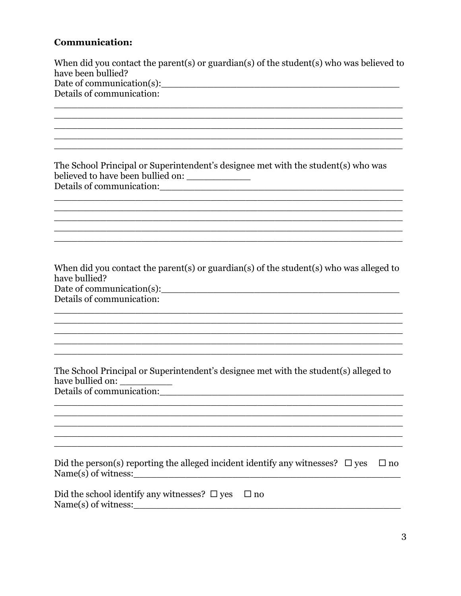# **Communication:**

| When did you contact the parent(s) or guardian(s) of the student(s) who was believed to<br>have been bullied?                                                                                                      |
|--------------------------------------------------------------------------------------------------------------------------------------------------------------------------------------------------------------------|
| Details of communication:                                                                                                                                                                                          |
|                                                                                                                                                                                                                    |
|                                                                                                                                                                                                                    |
|                                                                                                                                                                                                                    |
|                                                                                                                                                                                                                    |
| The School Principal or Superintendent's designee met with the student(s) who was<br>believed to have been bullied on: ______________                                                                              |
|                                                                                                                                                                                                                    |
|                                                                                                                                                                                                                    |
|                                                                                                                                                                                                                    |
|                                                                                                                                                                                                                    |
| When did you contact the parent(s) or guardian(s) of the student(s) who was alleged to<br>have bullied?<br>Date of communication(s):<br>Details of communication:                                                  |
|                                                                                                                                                                                                                    |
|                                                                                                                                                                                                                    |
|                                                                                                                                                                                                                    |
|                                                                                                                                                                                                                    |
| The School Principal or Superintendent's designee met with the student(s) alleged to<br>have bullied on:<br>Details of communication:                                                                              |
|                                                                                                                                                                                                                    |
|                                                                                                                                                                                                                    |
|                                                                                                                                                                                                                    |
|                                                                                                                                                                                                                    |
| Did the person(s) reporting the alleged incident identify any witnesses? $\Box$ yes<br>$\Box$ no                                                                                                                   |
| Did the school identify any witnesses? $\square$ yes<br>$\Box$ no<br>$Name(s)$ of witness:<br><u> 2000 - Jan James James James James James James James James James James James James James James James James J</u> |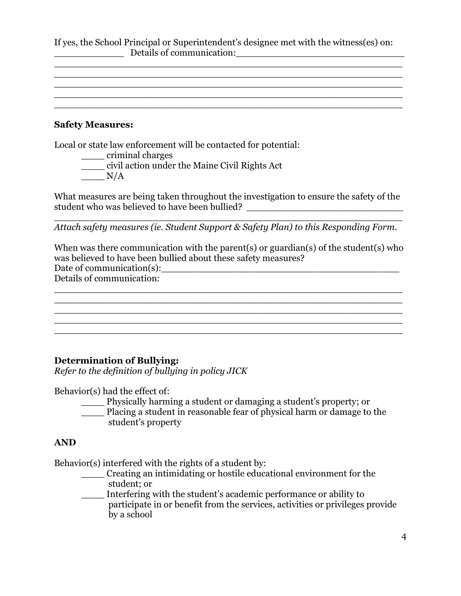If yes, the School Principal or Superintendent's designee met with the witness(es) on: \_\_\_\_\_\_\_\_\_\_\_\_ Details of communication:\_\_\_\_\_\_\_\_\_\_\_\_\_\_\_\_\_\_\_\_\_\_\_\_\_\_\_\_\_

\_\_\_\_\_\_\_\_\_\_\_\_\_\_\_\_\_\_\_\_\_\_\_\_\_\_\_\_\_\_\_\_\_\_\_\_\_\_\_\_\_\_\_\_\_\_\_\_\_\_\_\_\_\_\_\_\_\_\_\_ \_\_\_\_\_\_\_\_\_\_\_\_\_\_\_\_\_\_\_\_\_\_\_\_\_\_\_\_\_\_\_\_\_\_\_\_\_\_\_\_\_\_\_\_\_\_\_\_\_\_\_\_\_\_\_\_\_\_\_\_ \_\_\_\_\_\_\_\_\_\_\_\_\_\_\_\_\_\_\_\_\_\_\_\_\_\_\_\_\_\_\_\_\_\_\_\_\_\_\_\_\_\_\_\_\_\_\_\_\_\_\_\_\_\_\_\_\_\_\_\_ \_\_\_\_\_\_\_\_\_\_\_\_\_\_\_\_\_\_\_\_\_\_\_\_\_\_\_\_\_\_\_\_\_\_\_\_\_\_\_\_\_\_\_\_\_\_\_\_\_\_\_\_\_\_\_\_\_\_\_\_ \_\_\_\_\_\_\_\_\_\_\_\_\_\_\_\_\_\_\_\_\_\_\_\_\_\_\_\_\_\_\_\_\_\_\_\_\_\_\_\_\_\_\_\_\_\_\_\_\_\_\_\_\_\_\_\_\_\_\_\_

#### **Safety Measures:**

Local or state law enforcement will be contacted for potential:

- \_\_\_\_ criminal charges
- \_\_\_\_ civil action under the Maine Civil Rights Act
- $\frac{N}{A}$

What measures are being taken throughout the investigation to ensure the safety of the student who was believed to have been bullied? \_\_\_\_\_\_\_\_\_\_\_\_\_\_\_\_\_\_\_\_\_\_\_\_\_\_\_\_\_\_\_\_\_

\_\_\_\_\_\_\_\_\_\_\_\_\_\_\_\_\_\_\_\_\_\_\_\_\_\_\_\_\_\_\_\_\_\_\_\_\_\_\_\_\_\_\_\_\_\_\_\_\_\_\_\_\_\_\_\_\_\_\_\_ *Attach safety measures (ie. Student Support & Safety Plan) to this Responding Form.*

When was there communication with the parent(s) or guardian(s) of the student(s) who was believed to have been bullied about these safety measures? Date of communication(s):\_\_\_\_\_\_\_\_\_\_\_\_\_\_\_\_\_\_\_\_\_\_\_\_\_\_\_\_\_\_\_\_\_\_\_\_\_\_\_\_\_

\_\_\_\_\_\_\_\_\_\_\_\_\_\_\_\_\_\_\_\_\_\_\_\_\_\_\_\_\_\_\_\_\_\_\_\_\_\_\_\_\_\_\_\_\_\_\_\_\_\_\_\_\_\_\_\_\_\_\_\_

\_\_\_\_\_\_\_\_\_\_\_\_\_\_\_\_\_\_\_\_\_\_\_\_\_\_\_\_\_\_\_\_\_\_\_\_\_\_\_\_\_\_\_\_\_\_\_\_\_\_\_\_\_\_\_\_\_\_\_\_ \_\_\_\_\_\_\_\_\_\_\_\_\_\_\_\_\_\_\_\_\_\_\_\_\_\_\_\_\_\_\_\_\_\_\_\_\_\_\_\_\_\_\_\_\_\_\_\_\_\_\_\_\_\_\_\_\_\_\_\_

\_\_\_\_\_\_\_\_\_\_\_\_\_\_\_\_\_\_\_\_\_\_\_\_\_\_\_\_\_\_\_\_\_\_\_\_\_\_\_\_\_\_\_\_\_\_\_\_\_\_\_\_\_\_\_\_\_\_\_\_

Details of communication: \_\_\_\_\_\_\_\_\_\_\_\_\_\_\_\_\_\_\_\_\_\_\_\_\_\_\_\_\_\_\_\_\_\_\_\_\_\_\_\_\_\_\_\_\_\_\_\_\_\_\_\_\_\_\_\_\_\_\_\_

#### **Determination of Bullying:**

*Refer to the definition of bullying in policy JICK*

Behavior(s) had the effect of:

- \_\_\_\_ Physically harming a student or damaging a student's property; or
- \_\_\_\_ Placing a student in reasonable fear of physical harm or damage to the student's property

#### **AND**

Behavior(s) interfered with the rights of a student by:

\_\_\_\_ Creating an intimidating or hostile educational environment for the student; or

\_\_\_\_ Interfering with the student's academic performance or ability to participate in or benefit from the services, activities or privileges provide by a school